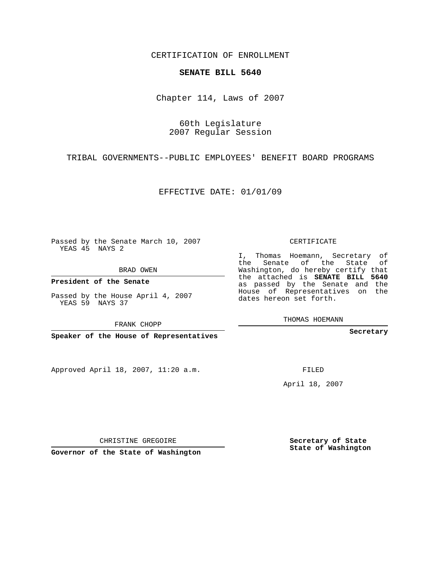CERTIFICATION OF ENROLLMENT

## **SENATE BILL 5640**

Chapter 114, Laws of 2007

60th Legislature 2007 Regular Session

TRIBAL GOVERNMENTS--PUBLIC EMPLOYEES' BENEFIT BOARD PROGRAMS

EFFECTIVE DATE: 01/01/09

Passed by the Senate March 10, 2007 YEAS 45 NAYS 2

BRAD OWEN

**President of the Senate**

Passed by the House April 4, 2007 YEAS 59 NAYS 37

FRANK CHOPP

**Speaker of the House of Representatives**

Approved April 18, 2007, 11:20 a.m.

CERTIFICATE

I, Thomas Hoemann, Secretary of the Senate of the State of Washington, do hereby certify that the attached is **SENATE BILL 5640** as passed by the Senate and the House of Representatives on the dates hereon set forth.

THOMAS HOEMANN

**Secretary**

FILED

April 18, 2007

CHRISTINE GREGOIRE

**Governor of the State of Washington**

**Secretary of State State of Washington**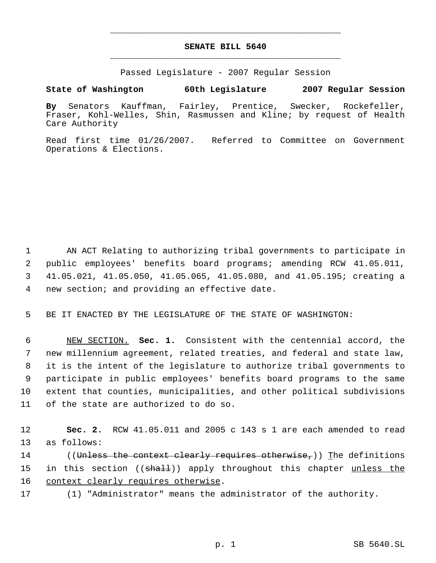## **SENATE BILL 5640** \_\_\_\_\_\_\_\_\_\_\_\_\_\_\_\_\_\_\_\_\_\_\_\_\_\_\_\_\_\_\_\_\_\_\_\_\_\_\_\_\_\_\_\_\_

\_\_\_\_\_\_\_\_\_\_\_\_\_\_\_\_\_\_\_\_\_\_\_\_\_\_\_\_\_\_\_\_\_\_\_\_\_\_\_\_\_\_\_\_\_

Passed Legislature - 2007 Regular Session

**State of Washington 60th Legislature 2007 Regular Session**

**By** Senators Kauffman, Fairley, Prentice, Swecker, Rockefeller, Fraser, Kohl-Welles, Shin, Rasmussen and Kline; by request of Health Care Authority

Read first time 01/26/2007. Referred to Committee on Government Operations & Elections.

 AN ACT Relating to authorizing tribal governments to participate in public employees' benefits board programs; amending RCW 41.05.011, 41.05.021, 41.05.050, 41.05.065, 41.05.080, and 41.05.195; creating a new section; and providing an effective date.

5 BE IT ENACTED BY THE LEGISLATURE OF THE STATE OF WASHINGTON:

 NEW SECTION. **Sec. 1.** Consistent with the centennial accord, the new millennium agreement, related treaties, and federal and state law, it is the intent of the legislature to authorize tribal governments to participate in public employees' benefits board programs to the same extent that counties, municipalities, and other political subdivisions of the state are authorized to do so.

12 **Sec. 2.** RCW 41.05.011 and 2005 c 143 s 1 are each amended to read 13 as follows:

14 ((<del>Unless the context clearly requires otherwise,</del>)) The definitions 15 in this section ((shall)) apply throughout this chapter unless the 16 context clearly requires otherwise.

17 (1) "Administrator" means the administrator of the authority.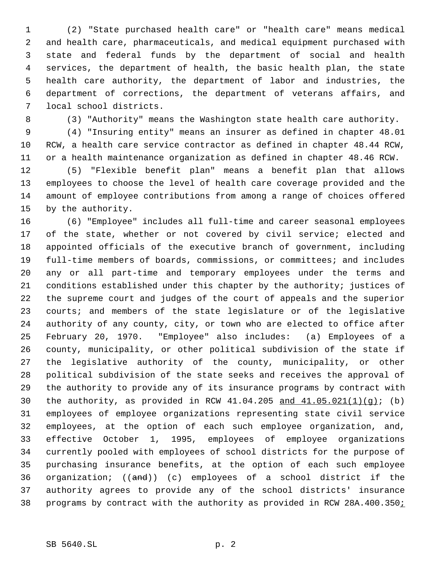(2) "State purchased health care" or "health care" means medical and health care, pharmaceuticals, and medical equipment purchased with state and federal funds by the department of social and health services, the department of health, the basic health plan, the state health care authority, the department of labor and industries, the department of corrections, the department of veterans affairs, and local school districts.

(3) "Authority" means the Washington state health care authority.

 (4) "Insuring entity" means an insurer as defined in chapter 48.01 RCW, a health care service contractor as defined in chapter 48.44 RCW, or a health maintenance organization as defined in chapter 48.46 RCW.

 (5) "Flexible benefit plan" means a benefit plan that allows employees to choose the level of health care coverage provided and the amount of employee contributions from among a range of choices offered by the authority.

 (6) "Employee" includes all full-time and career seasonal employees 17 of the state, whether or not covered by civil service; elected and appointed officials of the executive branch of government, including full-time members of boards, commissions, or committees; and includes any or all part-time and temporary employees under the terms and conditions established under this chapter by the authority; justices of the supreme court and judges of the court of appeals and the superior courts; and members of the state legislature or of the legislative authority of any county, city, or town who are elected to office after February 20, 1970. "Employee" also includes: (a) Employees of a county, municipality, or other political subdivision of the state if the legislative authority of the county, municipality, or other political subdivision of the state seeks and receives the approval of the authority to provide any of its insurance programs by contract with 30 the authority, as provided in RCW  $41.04.205$  and  $41.05.021(1)(q)$ ; (b) employees of employee organizations representing state civil service employees, at the option of each such employee organization, and, effective October 1, 1995, employees of employee organizations currently pooled with employees of school districts for the purpose of purchasing insurance benefits, at the option of each such employee organization; ((and)) (c) employees of a school district if the authority agrees to provide any of the school districts' insurance programs by contract with the authority as provided in RCW 28A.400.350;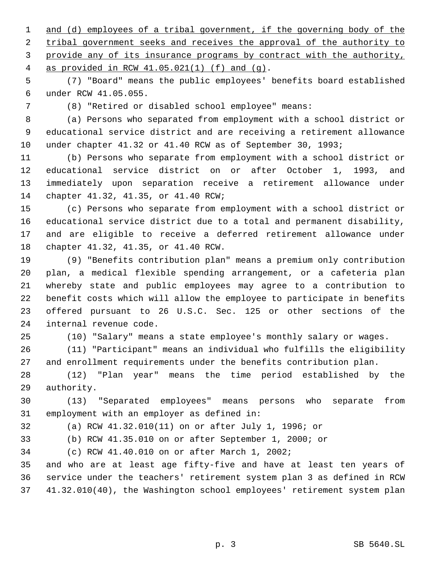1 and (d) employees of a tribal government, if the governing body of the tribal government seeks and receives the approval of the authority to provide any of its insurance programs by contract with the authority, as provided in RCW 41.05.021(1) (f) and (g).

 (7) "Board" means the public employees' benefits board established under RCW 41.05.055.

(8) "Retired or disabled school employee" means:

 (a) Persons who separated from employment with a school district or educational service district and are receiving a retirement allowance under chapter 41.32 or 41.40 RCW as of September 30, 1993;

 (b) Persons who separate from employment with a school district or educational service district on or after October 1, 1993, and immediately upon separation receive a retirement allowance under chapter 41.32, 41.35, or 41.40 RCW;

 (c) Persons who separate from employment with a school district or educational service district due to a total and permanent disability, and are eligible to receive a deferred retirement allowance under chapter 41.32, 41.35, or 41.40 RCW.

 (9) "Benefits contribution plan" means a premium only contribution plan, a medical flexible spending arrangement, or a cafeteria plan whereby state and public employees may agree to a contribution to benefit costs which will allow the employee to participate in benefits offered pursuant to 26 U.S.C. Sec. 125 or other sections of the internal revenue code.

(10) "Salary" means a state employee's monthly salary or wages.

 (11) "Participant" means an individual who fulfills the eligibility and enrollment requirements under the benefits contribution plan.

 (12) "Plan year" means the time period established by the authority.

 (13) "Separated employees" means persons who separate from employment with an employer as defined in:

(a) RCW 41.32.010(11) on or after July 1, 1996; or

(b) RCW 41.35.010 on or after September 1, 2000; or

(c) RCW 41.40.010 on or after March 1, 2002;

 and who are at least age fifty-five and have at least ten years of service under the teachers' retirement system plan 3 as defined in RCW 41.32.010(40), the Washington school employees' retirement system plan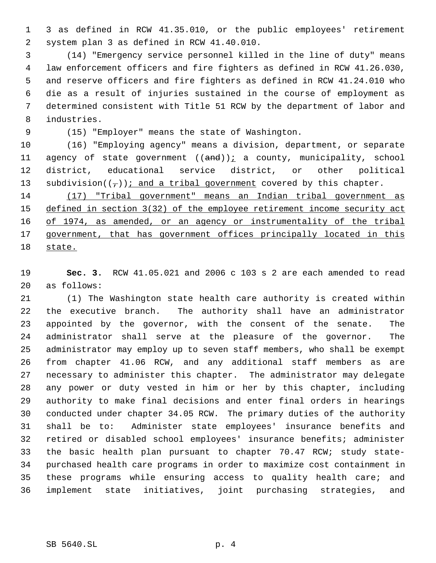3 as defined in RCW 41.35.010, or the public employees' retirement system plan 3 as defined in RCW 41.40.010.

 (14) "Emergency service personnel killed in the line of duty" means law enforcement officers and fire fighters as defined in RCW 41.26.030, and reserve officers and fire fighters as defined in RCW 41.24.010 who die as a result of injuries sustained in the course of employment as determined consistent with Title 51 RCW by the department of labor and industries.

(15) "Employer" means the state of Washington.

 (16) "Employing agency" means a division, department, or separate 11 agency of state government  $((and))$  a county, municipality, school district, educational service district, or other political 13 subdivision( $(\tau)$ ): and a tribal government covered by this chapter.

 (17) "Tribal government" means an Indian tribal government as defined in section 3(32) of the employee retirement income security act 16 of 1974, as amended, or an agency or instrumentality of the tribal 17 government, that has government offices principally located in this state.

 **Sec. 3.** RCW 41.05.021 and 2006 c 103 s 2 are each amended to read as follows:

 (1) The Washington state health care authority is created within the executive branch. The authority shall have an administrator appointed by the governor, with the consent of the senate. The administrator shall serve at the pleasure of the governor. The administrator may employ up to seven staff members, who shall be exempt from chapter 41.06 RCW, and any additional staff members as are necessary to administer this chapter. The administrator may delegate any power or duty vested in him or her by this chapter, including authority to make final decisions and enter final orders in hearings conducted under chapter 34.05 RCW. The primary duties of the authority shall be to: Administer state employees' insurance benefits and retired or disabled school employees' insurance benefits; administer the basic health plan pursuant to chapter 70.47 RCW; study state- purchased health care programs in order to maximize cost containment in these programs while ensuring access to quality health care; and implement state initiatives, joint purchasing strategies, and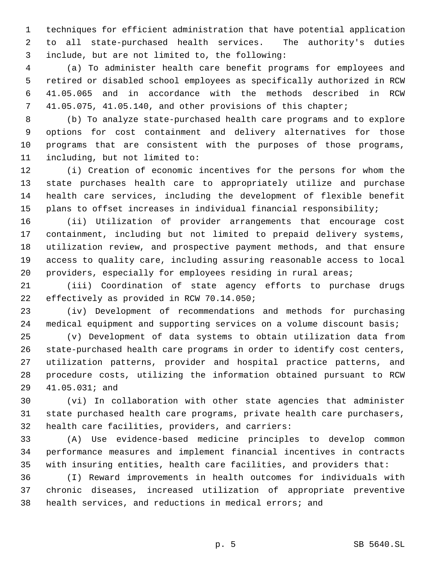techniques for efficient administration that have potential application to all state-purchased health services. The authority's duties include, but are not limited to, the following:

 (a) To administer health care benefit programs for employees and retired or disabled school employees as specifically authorized in RCW 41.05.065 and in accordance with the methods described in RCW 41.05.075, 41.05.140, and other provisions of this chapter;

 (b) To analyze state-purchased health care programs and to explore options for cost containment and delivery alternatives for those programs that are consistent with the purposes of those programs, including, but not limited to:

 (i) Creation of economic incentives for the persons for whom the state purchases health care to appropriately utilize and purchase health care services, including the development of flexible benefit plans to offset increases in individual financial responsibility;

 (ii) Utilization of provider arrangements that encourage cost containment, including but not limited to prepaid delivery systems, utilization review, and prospective payment methods, and that ensure access to quality care, including assuring reasonable access to local providers, especially for employees residing in rural areas;

 (iii) Coordination of state agency efforts to purchase drugs effectively as provided in RCW 70.14.050;

 (iv) Development of recommendations and methods for purchasing 24 medical equipment and supporting services on a volume discount basis;

 (v) Development of data systems to obtain utilization data from state-purchased health care programs in order to identify cost centers, utilization patterns, provider and hospital practice patterns, and procedure costs, utilizing the information obtained pursuant to RCW 41.05.031; and

 (vi) In collaboration with other state agencies that administer state purchased health care programs, private health care purchasers, health care facilities, providers, and carriers:

 (A) Use evidence-based medicine principles to develop common performance measures and implement financial incentives in contracts with insuring entities, health care facilities, and providers that:

 (I) Reward improvements in health outcomes for individuals with chronic diseases, increased utilization of appropriate preventive health services, and reductions in medical errors; and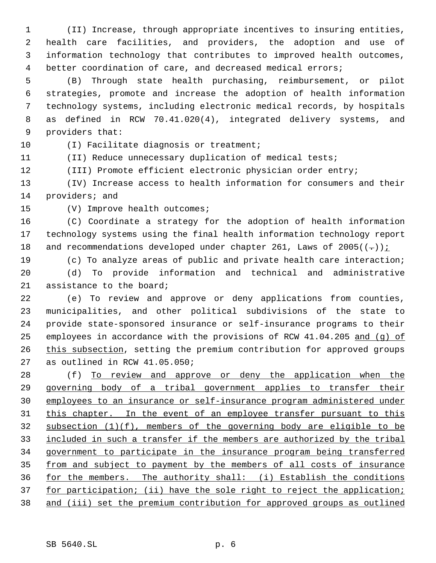(II) Increase, through appropriate incentives to insuring entities, health care facilities, and providers, the adoption and use of information technology that contributes to improved health outcomes, better coordination of care, and decreased medical errors;

 (B) Through state health purchasing, reimbursement, or pilot strategies, promote and increase the adoption of health information technology systems, including electronic medical records, by hospitals as defined in RCW 70.41.020(4), integrated delivery systems, and providers that:

10 (I) Facilitate diagnosis or treatment;

(II) Reduce unnecessary duplication of medical tests;

(III) Promote efficient electronic physician order entry;

 (IV) Increase access to health information for consumers and their providers; and

(V) Improve health outcomes;

 (C) Coordinate a strategy for the adoption of health information technology systems using the final health information technology report 18 and recommendations developed under chapter 261, Laws of 2005( $(-)$ ):

 (c) To analyze areas of public and private health care interaction; (d) To provide information and technical and administrative assistance to the board;

 (e) To review and approve or deny applications from counties, municipalities, and other political subdivisions of the state to provide state-sponsored insurance or self-insurance programs to their 25 employees in accordance with the provisions of RCW 41.04.205 and (g) of 26 this subsection, setting the premium contribution for approved groups as outlined in RCW 41.05.050;

28 (f) To review and approve or deny the application when the governing body of a tribal government applies to transfer their employees to an insurance or self-insurance program administered under 31 this chapter. In the event of an employee transfer pursuant to this subsection (1)(f), members of the governing body are eligible to be included in such a transfer if the members are authorized by the tribal government to participate in the insurance program being transferred 35 from and subject to payment by the members of all costs of insurance for the members. The authority shall: (i) Establish the conditions 37 for participation; (ii) have the sole right to reject the application; and (iii) set the premium contribution for approved groups as outlined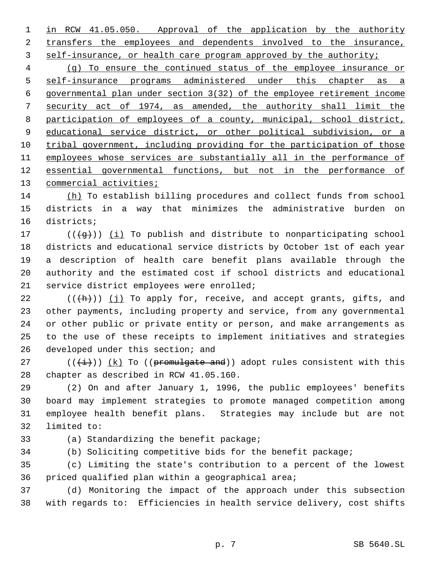1 in RCW 41.05.050. Approval of the application by the authority transfers the employees and dependents involved to the insurance, self-insurance, or health care program approved by the authority;

 (g) To ensure the continued status of the employee insurance or self-insurance programs administered under this chapter as a governmental plan under section 3(32) of the employee retirement income security act of 1974, as amended, the authority shall limit the participation of employees of a county, municipal, school district, educational service district, or other political subdivision, or a tribal government, including providing for the participation of those employees whose services are substantially all in the performance of essential governmental functions, but not in the performance of 13 commercial activities;

 (h) To establish billing procedures and collect funds from school districts in a way that minimizes the administrative burden on districts;

 $((\{g\}))(\iint$  To publish and distribute to nonparticipating school districts and educational service districts by October 1st of each year a description of health care benefit plans available through the authority and the estimated cost if school districts and educational service district employees were enrolled;

 $((+h))$  (j) To apply for, receive, and accept grants, gifts, and other payments, including property and service, from any governmental or other public or private entity or person, and make arrangements as to the use of these receipts to implement initiatives and strategies 26 developed under this section; and

27 ( $(\{\pm\})$ )  $(k)$  To ((promulgate and)) adopt rules consistent with this chapter as described in RCW 41.05.160.

 (2) On and after January 1, 1996, the public employees' benefits board may implement strategies to promote managed competition among employee health benefit plans. Strategies may include but are not limited to:

(a) Standardizing the benefit package;

(b) Soliciting competitive bids for the benefit package;

 (c) Limiting the state's contribution to a percent of the lowest priced qualified plan within a geographical area;

 (d) Monitoring the impact of the approach under this subsection with regards to: Efficiencies in health service delivery, cost shifts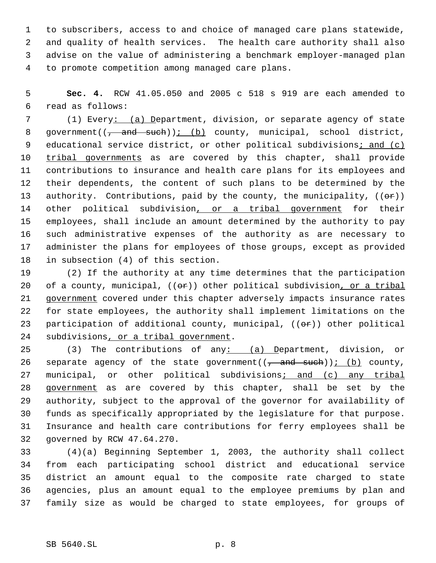to subscribers, access to and choice of managed care plans statewide, and quality of health services. The health care authority shall also advise on the value of administering a benchmark employer-managed plan to promote competition among managed care plans.

 **Sec. 4.** RCW 41.05.050 and 2005 c 518 s 919 are each amended to read as follows:

 (1) Every: (a) Department, division, or separate agency of state 8 government( $\left(\frac{1}{f} + \frac{1}{f} + \frac{1}{f} + \frac{1}{f} + \frac{1}{f}\right)$  county, municipal, school district, 9 educational service district, or other political subdivisions; and (c) 10 tribal governments as are covered by this chapter, shall provide contributions to insurance and health care plans for its employees and their dependents, the content of such plans to be determined by the 13 authority. Contributions, paid by the county, the municipality,  $((\theta \cdot \hat{r}))$ 14 other political subdivision, or a tribal government for their employees, shall include an amount determined by the authority to pay such administrative expenses of the authority as are necessary to administer the plans for employees of those groups, except as provided in subsection (4) of this section.

 (2) If the authority at any time determines that the participation 20 of a county, municipal,  $((e^*)$  other political subdivision, or a tribal 21 government covered under this chapter adversely impacts insurance rates for state employees, the authority shall implement limitations on the 23 participation of additional county, municipal,  $((\theta \cdot \mathbf{r}))$  other political subdivisions, or a tribal government.

25 (3) The contributions of any: (a) Department, division, or 26 separate agency of the state government( $\frac{1}{2}$  and such)); (b) county, 27 municipal, or other political subdivisions; and (c) any tribal 28 government as are covered by this chapter, shall be set by the authority, subject to the approval of the governor for availability of funds as specifically appropriated by the legislature for that purpose. Insurance and health care contributions for ferry employees shall be governed by RCW 47.64.270.

 (4)(a) Beginning September 1, 2003, the authority shall collect from each participating school district and educational service district an amount equal to the composite rate charged to state agencies, plus an amount equal to the employee premiums by plan and family size as would be charged to state employees, for groups of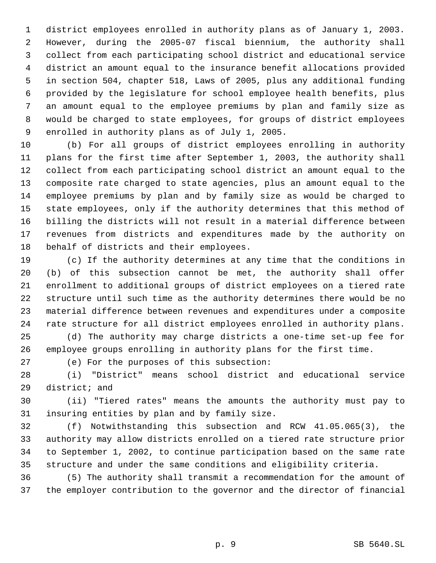district employees enrolled in authority plans as of January 1, 2003. However, during the 2005-07 fiscal biennium, the authority shall collect from each participating school district and educational service district an amount equal to the insurance benefit allocations provided in section 504, chapter 518, Laws of 2005, plus any additional funding provided by the legislature for school employee health benefits, plus an amount equal to the employee premiums by plan and family size as would be charged to state employees, for groups of district employees enrolled in authority plans as of July 1, 2005.

 (b) For all groups of district employees enrolling in authority plans for the first time after September 1, 2003, the authority shall collect from each participating school district an amount equal to the composite rate charged to state agencies, plus an amount equal to the employee premiums by plan and by family size as would be charged to state employees, only if the authority determines that this method of billing the districts will not result in a material difference between revenues from districts and expenditures made by the authority on behalf of districts and their employees.

 (c) If the authority determines at any time that the conditions in (b) of this subsection cannot be met, the authority shall offer enrollment to additional groups of district employees on a tiered rate structure until such time as the authority determines there would be no material difference between revenues and expenditures under a composite rate structure for all district employees enrolled in authority plans.

 (d) The authority may charge districts a one-time set-up fee for employee groups enrolling in authority plans for the first time.

(e) For the purposes of this subsection:

 (i) "District" means school district and educational service district; and

 (ii) "Tiered rates" means the amounts the authority must pay to insuring entities by plan and by family size.

 (f) Notwithstanding this subsection and RCW 41.05.065(3), the authority may allow districts enrolled on a tiered rate structure prior to September 1, 2002, to continue participation based on the same rate structure and under the same conditions and eligibility criteria.

 (5) The authority shall transmit a recommendation for the amount of the employer contribution to the governor and the director of financial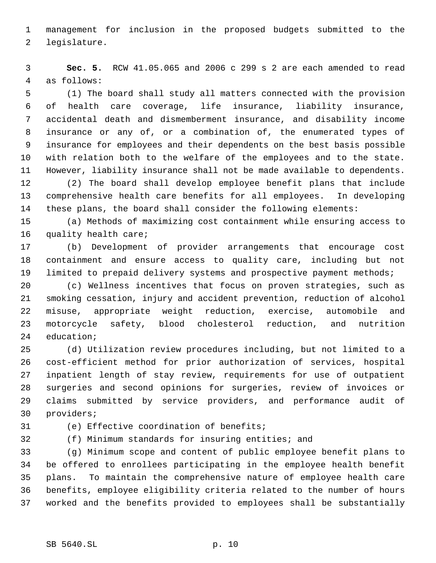management for inclusion in the proposed budgets submitted to the legislature.

 **Sec. 5.** RCW 41.05.065 and 2006 c 299 s 2 are each amended to read as follows:

 (1) The board shall study all matters connected with the provision of health care coverage, life insurance, liability insurance, accidental death and dismemberment insurance, and disability income insurance or any of, or a combination of, the enumerated types of insurance for employees and their dependents on the best basis possible with relation both to the welfare of the employees and to the state. However, liability insurance shall not be made available to dependents.

 (2) The board shall develop employee benefit plans that include comprehensive health care benefits for all employees. In developing these plans, the board shall consider the following elements:

 (a) Methods of maximizing cost containment while ensuring access to quality health care;

 (b) Development of provider arrangements that encourage cost containment and ensure access to quality care, including but not limited to prepaid delivery systems and prospective payment methods;

 (c) Wellness incentives that focus on proven strategies, such as smoking cessation, injury and accident prevention, reduction of alcohol misuse, appropriate weight reduction, exercise, automobile and motorcycle safety, blood cholesterol reduction, and nutrition education;

 (d) Utilization review procedures including, but not limited to a cost-efficient method for prior authorization of services, hospital inpatient length of stay review, requirements for use of outpatient surgeries and second opinions for surgeries, review of invoices or claims submitted by service providers, and performance audit of providers;

(e) Effective coordination of benefits;

(f) Minimum standards for insuring entities; and

 (g) Minimum scope and content of public employee benefit plans to be offered to enrollees participating in the employee health benefit plans. To maintain the comprehensive nature of employee health care benefits, employee eligibility criteria related to the number of hours worked and the benefits provided to employees shall be substantially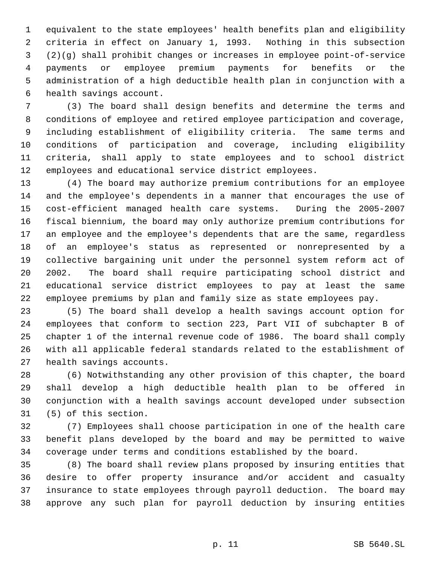equivalent to the state employees' health benefits plan and eligibility criteria in effect on January 1, 1993. Nothing in this subsection (2)(g) shall prohibit changes or increases in employee point-of-service payments or employee premium payments for benefits or the administration of a high deductible health plan in conjunction with a health savings account.

 (3) The board shall design benefits and determine the terms and conditions of employee and retired employee participation and coverage, including establishment of eligibility criteria. The same terms and conditions of participation and coverage, including eligibility criteria, shall apply to state employees and to school district employees and educational service district employees.

 (4) The board may authorize premium contributions for an employee and the employee's dependents in a manner that encourages the use of cost-efficient managed health care systems. During the 2005-2007 fiscal biennium, the board may only authorize premium contributions for an employee and the employee's dependents that are the same, regardless of an employee's status as represented or nonrepresented by a collective bargaining unit under the personnel system reform act of 2002. The board shall require participating school district and educational service district employees to pay at least the same employee premiums by plan and family size as state employees pay.

 (5) The board shall develop a health savings account option for employees that conform to section 223, Part VII of subchapter B of chapter 1 of the internal revenue code of 1986. The board shall comply with all applicable federal standards related to the establishment of health savings accounts.

 (6) Notwithstanding any other provision of this chapter, the board shall develop a high deductible health plan to be offered in conjunction with a health savings account developed under subsection (5) of this section.

 (7) Employees shall choose participation in one of the health care benefit plans developed by the board and may be permitted to waive coverage under terms and conditions established by the board.

 (8) The board shall review plans proposed by insuring entities that desire to offer property insurance and/or accident and casualty insurance to state employees through payroll deduction. The board may approve any such plan for payroll deduction by insuring entities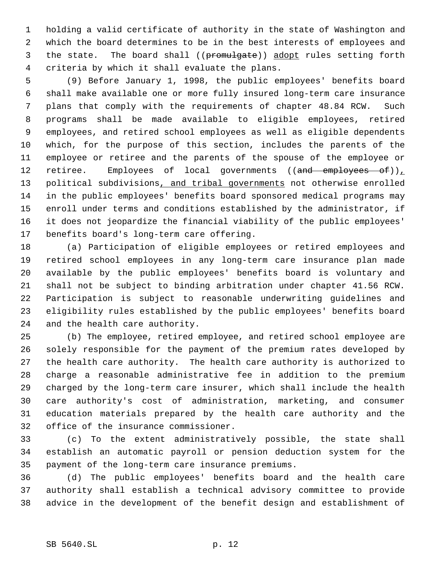holding a valid certificate of authority in the state of Washington and which the board determines to be in the best interests of employees and 3 the state. The board shall ((promulgate)) adopt rules setting forth criteria by which it shall evaluate the plans.

 (9) Before January 1, 1998, the public employees' benefits board shall make available one or more fully insured long-term care insurance plans that comply with the requirements of chapter 48.84 RCW. Such programs shall be made available to eligible employees, retired employees, and retired school employees as well as eligible dependents which, for the purpose of this section, includes the parents of the employee or retiree and the parents of the spouse of the employee or 12 retiree. Employees of local governments ((and employees of)) 13 political subdivisions, and tribal governments not otherwise enrolled in the public employees' benefits board sponsored medical programs may enroll under terms and conditions established by the administrator, if it does not jeopardize the financial viability of the public employees' benefits board's long-term care offering.

 (a) Participation of eligible employees or retired employees and retired school employees in any long-term care insurance plan made available by the public employees' benefits board is voluntary and shall not be subject to binding arbitration under chapter 41.56 RCW. Participation is subject to reasonable underwriting guidelines and eligibility rules established by the public employees' benefits board and the health care authority.

 (b) The employee, retired employee, and retired school employee are solely responsible for the payment of the premium rates developed by the health care authority. The health care authority is authorized to charge a reasonable administrative fee in addition to the premium charged by the long-term care insurer, which shall include the health care authority's cost of administration, marketing, and consumer education materials prepared by the health care authority and the office of the insurance commissioner.

 (c) To the extent administratively possible, the state shall establish an automatic payroll or pension deduction system for the payment of the long-term care insurance premiums.

 (d) The public employees' benefits board and the health care authority shall establish a technical advisory committee to provide advice in the development of the benefit design and establishment of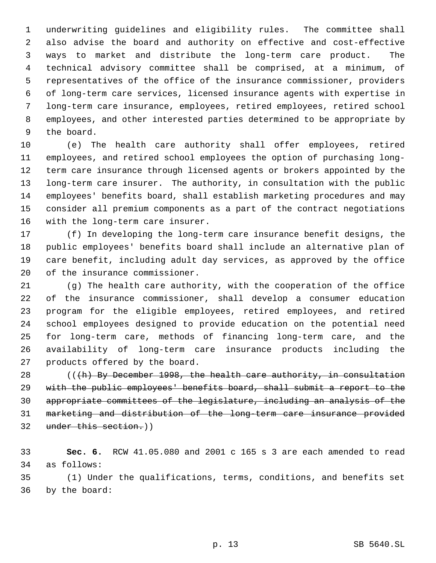underwriting guidelines and eligibility rules. The committee shall also advise the board and authority on effective and cost-effective ways to market and distribute the long-term care product. The technical advisory committee shall be comprised, at a minimum, of representatives of the office of the insurance commissioner, providers of long-term care services, licensed insurance agents with expertise in long-term care insurance, employees, retired employees, retired school employees, and other interested parties determined to be appropriate by the board.

 (e) The health care authority shall offer employees, retired employees, and retired school employees the option of purchasing long- term care insurance through licensed agents or brokers appointed by the long-term care insurer. The authority, in consultation with the public employees' benefits board, shall establish marketing procedures and may consider all premium components as a part of the contract negotiations with the long-term care insurer.

 (f) In developing the long-term care insurance benefit designs, the public employees' benefits board shall include an alternative plan of care benefit, including adult day services, as approved by the office of the insurance commissioner.

 (g) The health care authority, with the cooperation of the office of the insurance commissioner, shall develop a consumer education program for the eligible employees, retired employees, and retired school employees designed to provide education on the potential need for long-term care, methods of financing long-term care, and the availability of long-term care insurance products including the products offered by the board.

28 (((h) By December 1998, the health care authority, in consultation with the public employees' benefits board, shall submit a report to the appropriate committees of the legislature, including an analysis of the marketing and distribution of the long-term care insurance provided under this section.))

 **Sec. 6.** RCW 41.05.080 and 2001 c 165 s 3 are each amended to read as follows:

 (1) Under the qualifications, terms, conditions, and benefits set by the board: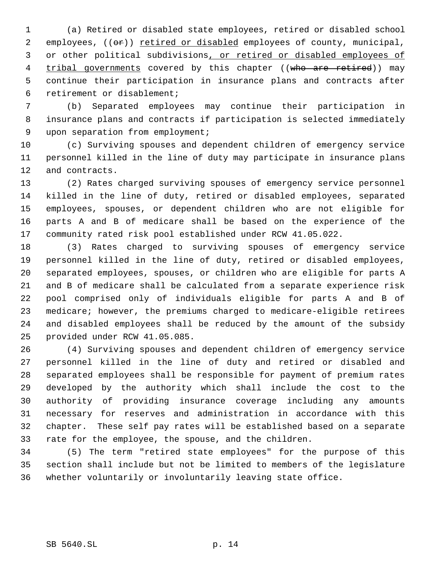(a) Retired or disabled state employees, retired or disabled school 2 employees, ((or)) retired or disabled employees of county, municipal, 3 or other political subdivisions, or retired or disabled employees of 4 tribal governments covered by this chapter ((who are retired)) may continue their participation in insurance plans and contracts after retirement or disablement;

 (b) Separated employees may continue their participation in insurance plans and contracts if participation is selected immediately upon separation from employment;

 (c) Surviving spouses and dependent children of emergency service personnel killed in the line of duty may participate in insurance plans and contracts.

 (2) Rates charged surviving spouses of emergency service personnel killed in the line of duty, retired or disabled employees, separated employees, spouses, or dependent children who are not eligible for parts A and B of medicare shall be based on the experience of the community rated risk pool established under RCW 41.05.022.

 (3) Rates charged to surviving spouses of emergency service personnel killed in the line of duty, retired or disabled employees, separated employees, spouses, or children who are eligible for parts A and B of medicare shall be calculated from a separate experience risk pool comprised only of individuals eligible for parts A and B of medicare; however, the premiums charged to medicare-eligible retirees and disabled employees shall be reduced by the amount of the subsidy provided under RCW 41.05.085.

 (4) Surviving spouses and dependent children of emergency service personnel killed in the line of duty and retired or disabled and separated employees shall be responsible for payment of premium rates developed by the authority which shall include the cost to the authority of providing insurance coverage including any amounts necessary for reserves and administration in accordance with this chapter. These self pay rates will be established based on a separate rate for the employee, the spouse, and the children.

 (5) The term "retired state employees" for the purpose of this section shall include but not be limited to members of the legislature whether voluntarily or involuntarily leaving state office.